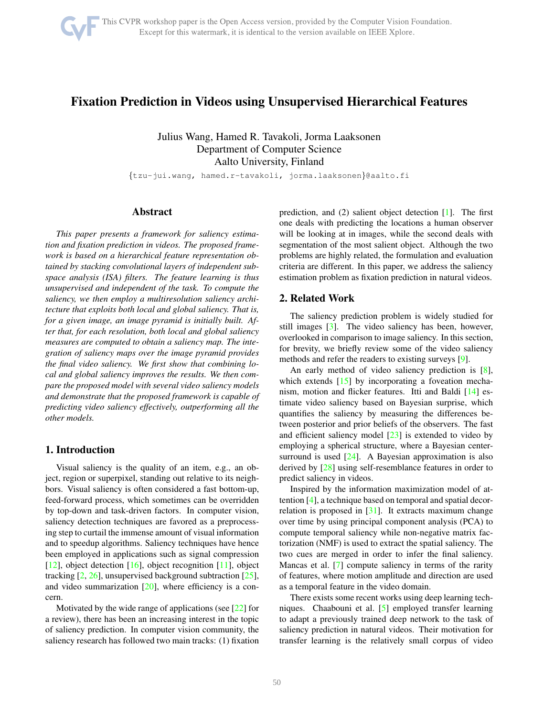# <span id="page-0-0"></span>Fixation Prediction in Videos using Unsupervised Hierarchical Features

Julius Wang, Hamed R. Tavakoli, Jorma Laaksonen Department of Computer Science Aalto University, Finland

{tzu-jui.wang, hamed.r-tavakoli, jorma.laaksonen}@aalto.fi

### Abstract

*This paper presents a framework for saliency estimation and fixation prediction in videos. The proposed framework is based on a hierarchical feature representation obtained by stacking convolutional layers of independent subspace analysis (ISA) filters. The feature learning is thus unsupervised and independent of the task. To compute the saliency, we then employ a multiresolution saliency architecture that exploits both local and global saliency. That is, for a given image, an image pyramid is initially built. After that, for each resolution, both local and global saliency measures are computed to obtain a saliency map. The integration of saliency maps over the image pyramid provides the final video saliency. We first show that combining local and global saliency improves the results. We then compare the proposed model with several video saliency models and demonstrate that the proposed framework is capable of predicting video saliency effectively, outperforming all the other models.*

## 1. Introduction

Visual saliency is the quality of an item, e.g., an object, region or superpixel, standing out relative to its neighbors. Visual saliency is often considered a fast bottom-up, feed-forward process, which sometimes can be overridden by top-down and task-driven factors. In computer vision, saliency detection techniques are favored as a preprocessing step to curtail the immense amount of visual information and to speedup algorithms. Saliency techniques have hence been employed in applications such as signal compression [\[12\]](#page-5-0), object detection [\[16\]](#page-6-0), object recognition [\[11\]](#page-5-1), object tracking [\[2,](#page-5-2) [26\]](#page-7-0), unsupervised background subtraction [\[25\]](#page-6-1), and video summarization  $[20]$ , where efficiency is a concern.

Motivated by the wide range of applications (see [\[22\]](#page-6-3) for a review), there has been an increasing interest in the topic of saliency prediction. In computer vision community, the saliency research has followed two main tracks: (1) fixation

prediction, and (2) salient object detection [\[1\]](#page-5-3). The first one deals with predicting the locations a human observer will be looking at in images, while the second deals with segmentation of the most salient object. Although the two problems are highly related, the formulation and evaluation criteria are different. In this paper, we address the saliency estimation problem as fixation prediction in natural videos.

# 2. Related Work

The saliency prediction problem is widely studied for still images [\[3\]](#page-5-4). The video saliency has been, however, overlooked in comparison to image saliency. In this section, for brevity, we briefly review some of the video saliency methods and refer the readers to existing surveys [\[9\]](#page-5-5).

An early method of video saliency prediction is [\[8\]](#page-5-6), which extends [\[15\]](#page-6-4) by incorporating a foveation mechanism, motion and flicker features. Itti and Baldi [\[14\]](#page-6-5) estimate video saliency based on Bayesian surprise, which quantifies the saliency by measuring the differences between posterior and prior beliefs of the observers. The fast and efficient saliency model [\[23\]](#page-6-6) is extended to video by employing a spherical structure, where a Bayesian center-surround is used [\[24\]](#page-6-7). A Bayesian approximation is also derived by [\[28\]](#page-7-1) using self-resemblance features in order to predict saliency in videos.

Inspired by the information maximization model of attention [\[4\]](#page-5-7), a technique based on temporal and spatial decorrelation is proposed in  $[31]$ . It extracts maximum change over time by using principal component analysis (PCA) to compute temporal saliency while non-negative matrix factorization (NMF) is used to extract the spatial saliency. The two cues are merged in order to infer the final saliency. Mancas et al. [\[7\]](#page-5-8) compute saliency in terms of the rarity of features, where motion amplitude and direction are used as a temporal feature in the video domain.

There exists some recent works using deep learning techniques. Chaabouni et al. [\[5\]](#page-5-9) employed transfer learning to adapt a previously trained deep network to the task of saliency prediction in natural videos. Their motivation for transfer learning is the relatively small corpus of video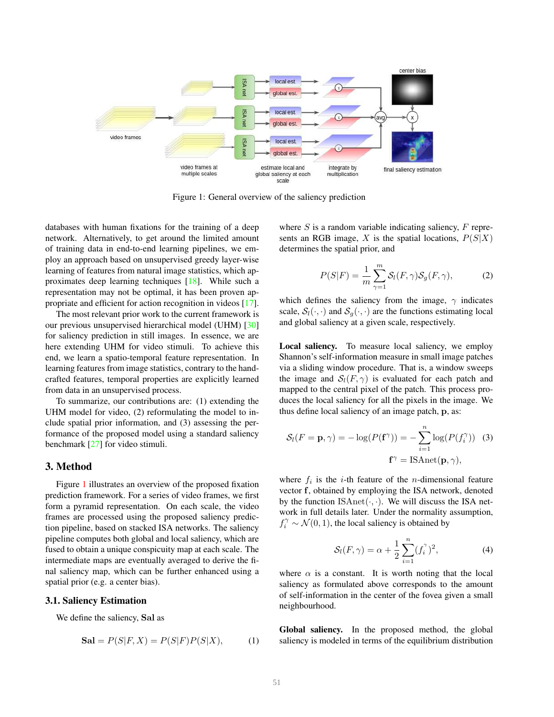<span id="page-1-1"></span><span id="page-1-0"></span>

Figure 1: General overview of the saliency prediction

databases with human fixations for the training of a deep network. Alternatively, to get around the limited amount of training data in end-to-end learning pipelines, we employ an approach based on unsupervised greedy layer-wise learning of features from natural image statistics, which approximates deep learning techniques [\[18\]](#page-6-8). While such a representation may not be optimal, it has been proven appropriate and efficient for action recognition in videos [\[17\]](#page-6-9).

The most relevant prior work to the current framework is our previous unsupervised hierarchical model (UHM) [\[30\]](#page-7-3) for saliency prediction in still images. In essence, we are here extending UHM for video stimuli. To achieve this end, we learn a spatio-temporal feature representation. In learning features from image statistics, contrary to the handcrafted features, temporal properties are explicitly learned from data in an unsupervised process.

To summarize, our contributions are: (1) extending the UHM model for video, (2) reformulating the model to include spatial prior information, and (3) assessing the performance of the proposed model using a standard saliency benchmark [\[27\]](#page-7-4) for video stimuli.

#### 3. Method

Figure [1](#page-1-0) illustrates an overview of the proposed fixation prediction framework. For a series of video frames, we first form a pyramid representation. On each scale, the video frames are processed using the proposed saliency prediction pipeline, based on stacked ISA networks. The saliency pipeline computes both global and local saliency, which are fused to obtain a unique conspicuity map at each scale. The intermediate maps are eventually averaged to derive the final saliency map, which can be further enhanced using a spatial prior (e.g. a center bias).

#### 3.1. Saliency Estimation

We define the saliency, Sal as

$$
\mathbf{Sal} = P(S|F, X) = P(S|F)P(S|X), \tag{1}
$$

where  $S$  is a random variable indicating saliency,  $F$  represents an RGB image, X is the spatial locations,  $P(S|X)$ determines the spatial prior, and

$$
P(S|F) = \frac{1}{m} \sum_{\gamma=1}^{m} \mathcal{S}_l(F, \gamma) \mathcal{S}_g(F, \gamma), \tag{2}
$$

which defines the saliency from the image,  $\gamma$  indicates scale,  $S_l(\cdot, \cdot)$  and  $S_q(\cdot, \cdot)$  are the functions estimating local and global saliency at a given scale, respectively.

Local saliency. To measure local saliency, we employ Shannon's self-information measure in small image patches via a sliding window procedure. That is, a window sweeps the image and  $S_l(F, \gamma)$  is evaluated for each patch and mapped to the central pixel of the patch. This process produces the local saliency for all the pixels in the image. We thus define local saliency of an image patch, p, as:

$$
S_l(F = \mathbf{p}, \gamma) = -\log(P(\mathbf{f}^{\gamma})) = -\sum_{i=1}^{n} \log(P(f_i^{\gamma}))
$$
 (3)  

$$
\mathbf{f}^{\gamma} = \text{ISAnet}(\mathbf{p}, \gamma),
$$

where  $f_i$  is the *i*-th feature of the *n*-dimensional feature vector f, obtained by employing the ISA network, denoted by the function  $ISAnet(\cdot, \cdot)$ . We will discuss the ISA network in full details later. Under the normality assumption,  $f_i^{\gamma} \sim \mathcal{N}(0, 1)$ , the local saliency is obtained by

$$
S_l(F,\gamma) = \alpha + \frac{1}{2} \sum_{i=1}^n (f_i^{\gamma})^2,
$$
 (4)

where  $\alpha$  is a constant. It is worth noting that the local saliency as formulated above corresponds to the amount of self-information in the center of the fovea given a small neighbourhood.

Global saliency. In the proposed method, the global saliency is modeled in terms of the equilibrium distribution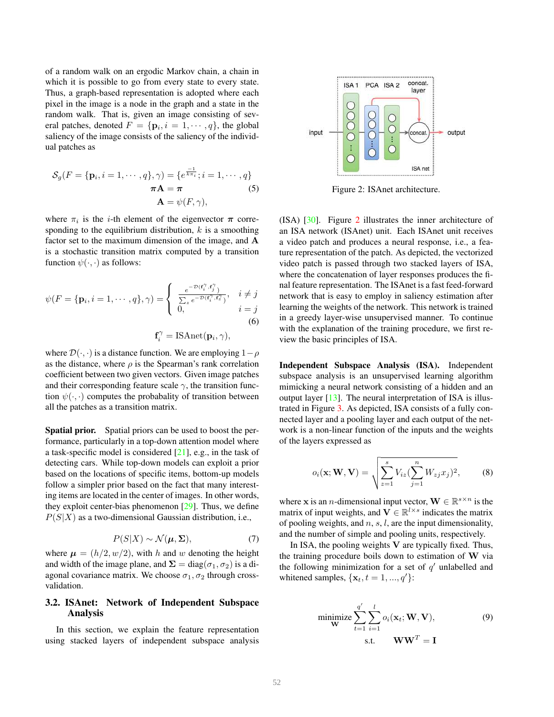<span id="page-2-2"></span>of a random walk on an ergodic Markov chain, a chain in which it is possible to go from every state to every state. Thus, a graph-based representation is adopted where each pixel in the image is a node in the graph and a state in the random walk. That is, given an image consisting of several patches, denoted  $F = \{ \mathbf{p}_i, i = 1, \cdots, q \}$ , the global saliency of the image consists of the saliency of the individual patches as

$$
S_g(F = \{\mathbf{p}_i, i = 1, \cdots, q\}, \gamma) = \{e^{\frac{-1}{k \pi_i}}; i = 1, \cdots, q\}
$$

$$
\boldsymbol{\pi} \mathbf{A} = \boldsymbol{\pi} \tag{5}
$$

$$
\mathbf{A} = \psi(F, \gamma),
$$

where  $\pi_i$  is the *i*-th element of the eigenvector  $\pi$  corresponding to the equilibrium distribution,  $k$  is a smoothing factor set to the maximum dimension of the image, and A is a stochastic transition matrix computed by a transition function  $\psi(\cdot, \cdot)$  as follows:

$$
\psi(F = \{\mathbf{p}_i, i = 1, \cdots, q\}, \gamma) = \begin{cases} \frac{e^{-\mathcal{D}(\mathbf{f}_i^{\gamma}, \mathbf{f}_j^{\gamma})}}{\sum_{z} e^{-\mathcal{D}(\mathbf{f}_i^{\gamma}, \mathbf{f}_z^{\gamma})}}, & i \neq j \\ 0, & i = j \end{cases}
$$
\n(6)

 $f_i^{\gamma} = \text{ISAnet}(\mathbf{p}_i, \gamma),$ 

where  $\mathcal{D}(\cdot, \cdot)$  is a distance function. We are employing  $1-\rho$ as the distance, where  $\rho$  is the Spearman's rank correlation coefficient between two given vectors. Given image patches and their corresponding feature scale  $\gamma$ , the transition function  $\psi(\cdot, \cdot)$  computes the probabality of transition between all the patches as a transition matrix.

Spatial prior. Spatial priors can be used to boost the performance, particularly in a top-down attention model where a task-specific model is considered [\[21\]](#page-6-10), e.g., in the task of detecting cars. While top-down models can exploit a prior based on the locations of specific items, bottom-up models follow a simpler prior based on the fact that many interesting items are located in the center of images. In other words, they exploit center-bias phenomenon [\[29\]](#page-7-5). Thus, we define  $P(S|X)$  as a two-dimensional Gaussian distribution, i.e.,

$$
P(S|X) \sim \mathcal{N}(\boldsymbol{\mu}, \boldsymbol{\Sigma}),\tag{7}
$$

where  $\mu = (h/2, w/2)$ , with h and w denoting the height and width of the image plane, and  $\Sigma = diag(\sigma_1, \sigma_2)$  is a diagonal covariance matrix. We choose  $\sigma_1$ ,  $\sigma_2$  through crossvalidation.

### 3.2. ISAnet: Network of Independent Subspace Analysis

In this section, we explain the feature representation using stacked layers of independent subspace analysis

<span id="page-2-0"></span>

Figure 2: ISAnet architecture.

(ISA) [\[30\]](#page-7-3). Figure [2](#page-2-0) illustrates the inner architecture of an ISA network (ISAnet) unit. Each ISAnet unit receives a video patch and produces a neural response, i.e., a feature representation of the patch. As depicted, the vectorized video patch is passed through two stacked layers of ISA, where the concatenation of layer responses produces the final feature representation. The ISAnet is a fast feed-forward network that is easy to employ in saliency estimation after learning the weights of the network. This network is trained in a greedy layer-wise unsupervised manner. To continue with the explanation of the training procedure, we first review the basic principles of ISA.

Independent Subspace Analysis (ISA). Independent subspace analysis is an unsupervised learning algorithm mimicking a neural network consisting of a hidden and an output layer [\[13\]](#page-5-10). The neural interpretation of ISA is illustrated in Figure [3.](#page-3-0) As depicted, ISA consists of a fully connected layer and a pooling layer and each output of the network is a non-linear function of the inputs and the weights of the layers expressed as

$$
o_i(\mathbf{x}; \mathbf{W}, \mathbf{V}) = \sqrt{\sum_{z=1}^s V_{iz} (\sum_{j=1}^n W_{zj} x_j)^2},
$$
 (8)

where **x** is an *n*-dimensional input vector,  $\mathbf{W} \in \mathbb{R}^{s \times n}$  is the matrix of input weights, and  $\mathbf{V} \in \mathbb{R}^{l \times s}$  indicates the matrix of pooling weights, and  $n, s, l$ , are the input dimensionality, and the number of simple and pooling units, respectively.

In ISA, the pooling weights  $V$  are typically fixed. Thus, the training procedure boils down to estimation of  $W$  via the following minimization for a set of  $q'$  unlabelled and whitened samples,  $\{x_t, t = 1, ..., q'\}$ :

<span id="page-2-1"></span>
$$
\underset{\mathbf{W}}{\text{minimize}} \sum_{t=1}^{q'} \sum_{i=1}^{l} o_i(\mathbf{x}_t; \mathbf{W}, \mathbf{V}),
$$
\n
$$
\text{s.t.} \qquad \mathbf{W}\mathbf{W}^T = \mathbf{I}
$$
\n(9)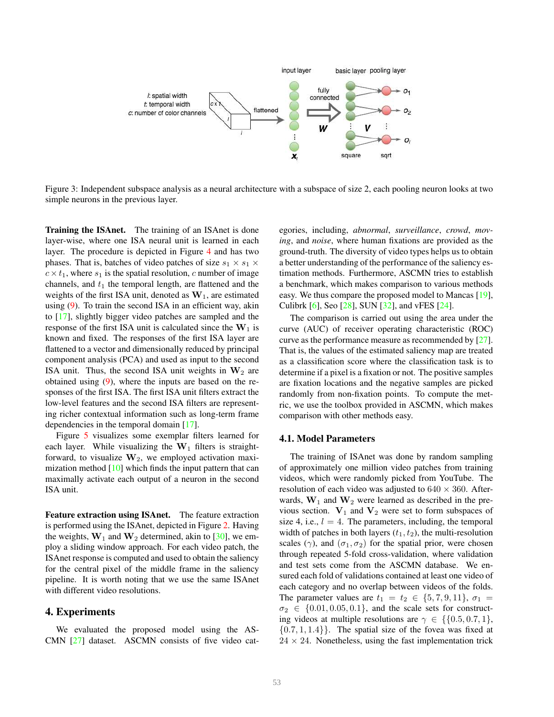<span id="page-3-1"></span><span id="page-3-0"></span>

Figure 3: Independent subspace analysis as a neural architecture with a subspace of size 2, each pooling neuron looks at two simple neurons in the previous layer.

Training the ISAnet. The training of an ISAnet is done layer-wise, where one ISA neural unit is learned in each layer. The procedure is depicted in Figure [4](#page-4-0) and has two phases. That is, batches of video patches of size  $s_1 \times s_1 \times$  $c \times t_1$ , where  $s_1$  is the spatial resolution, c number of image channels, and  $t_1$  the temporal length, are flattened and the weights of the first ISA unit, denoted as  $W_1$ , are estimated using [\(9\)](#page-2-1). To train the second ISA in an efficient way, akin to [\[17\]](#page-6-9), slightly bigger video patches are sampled and the response of the first ISA unit is calculated since the  $W_1$  is known and fixed. The responses of the first ISA layer are flattened to a vector and dimensionally reduced by principal component analysis (PCA) and used as input to the second ISA unit. Thus, the second ISA unit weights in  $W_2$  are obtained using [\(9\)](#page-2-1), where the inputs are based on the responses of the first ISA. The first ISA unit filters extract the low-level features and the second ISA filters are representing richer contextual information such as long-term frame dependencies in the temporal domain [\[17\]](#page-6-9).

Figure [5](#page-4-1) visualizes some exemplar filters learned for each layer. While visualizing the  $W_1$  filters is straightforward, to visualize  $W_2$ , we employed activation maximization method [\[10\]](#page-5-11) which finds the input pattern that can maximally activate each output of a neuron in the second ISA unit.

Feature extraction using ISAnet. The feature extraction is performed using the ISAnet, depicted in Figure [2.](#page-2-0) Having the weights,  $W_1$  and  $W_2$  determined, akin to [\[30\]](#page-7-3), we employ a sliding window approach. For each video patch, the ISAnet response is computed and used to obtain the saliency for the central pixel of the middle frame in the saliency pipeline. It is worth noting that we use the same ISAnet with different video resolutions.

#### 4. Experiments

We evaluated the proposed model using the AS-CMN [\[27\]](#page-7-4) dataset. ASCMN consists of five video categories, including, *abnormal*, *surveillance*, *crowd*, *moving*, and *noise*, where human fixations are provided as the ground-truth. The diversity of video types helps us to obtain a better understanding of the performance of the saliency estimation methods. Furthermore, ASCMN tries to establish a benchmark, which makes comparison to various methods easy. We thus compare the proposed model to Mancas [\[19\]](#page-6-11), Culibrk [\[6\]](#page-5-12), Seo [\[28\]](#page-7-1), SUN [\[32\]](#page-7-6), and vFES [\[24\]](#page-6-7).

The comparison is carried out using the area under the curve (AUC) of receiver operating characteristic (ROC) curve as the performance measure as recommended by [\[27\]](#page-7-4). That is, the values of the estimated saliency map are treated as a classification score where the classification task is to determine if a pixel is a fixation or not. The positive samples are fixation locations and the negative samples are picked randomly from non-fixation points. To compute the metric, we use the toolbox provided in ASCMN, which makes comparison with other methods easy.

#### 4.1. Model Parameters

The training of ISAnet was done by random sampling of approximately one million video patches from training videos, which were randomly picked from YouTube. The resolution of each video was adjusted to  $640 \times 360$ . Afterwards,  $W_1$  and  $W_2$  were learned as described in the previous section.  $V_1$  and  $V_2$  were set to form subspaces of size 4, i.e.,  $l = 4$ . The parameters, including, the temporal width of patches in both layers  $(t_1, t_2)$ , the multi-resolution scales ( $\gamma$ ), and ( $\sigma_1, \sigma_2$ ) for the spatial prior, were chosen through repeated 5-fold cross-validation, where validation and test sets come from the ASCMN database. We ensured each fold of validations contained at least one video of each category and no overlap between videos of the folds. The parameter values are  $t_1 = t_2 \in \{5, 7, 9, 11\}, \sigma_1 =$  $\sigma_2 \in \{0.01, 0.05, 0.1\}$ , and the scale sets for constructing videos at multiple resolutions are  $\gamma \in \{ \{0.5, 0.7, 1\},\}$  $\{0.7, 1, 1.4\}$ . The spatial size of the fovea was fixed at  $24 \times 24$ . Nonetheless, using the fast implementation trick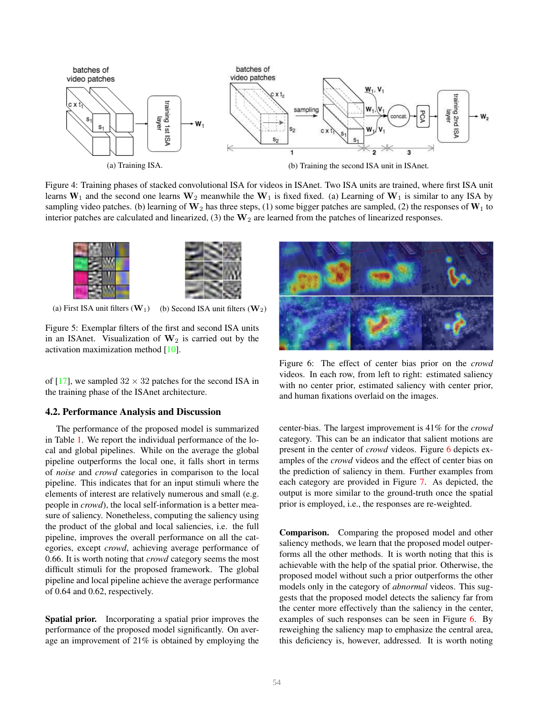<span id="page-4-3"></span><span id="page-4-0"></span>

Figure 4: Training phases of stacked convolutional ISA for videos in ISAnet. Two ISA units are trained, where first ISA unit learns  $W_1$  and the second one learns  $W_2$  meanwhile the  $W_1$  is fixed fixed. (a) Learning of  $W_1$  is similar to any ISA by sampling video patches. (b) learning of  $W_2$  has three steps, (1) some bigger patches are sampled, (2) the responses of  $W_1$  to interior patches are calculated and linearized, (3) the  $W_2$  are learned from the patches of linearized responses.

<span id="page-4-1"></span>

(a) First ISA unit filters  $(\mathbf{W}_1)$  (b) Second ISA unit filters  $(\mathbf{W}_2)$ 

Figure 5: Exemplar filters of the first and second ISA units in an ISAnet. Visualization of  $W_2$  is carried out by the activation maximization method [\[10\]](#page-5-11).

of [\[17\]](#page-6-9), we sampled  $32 \times 32$  patches for the second ISA in the training phase of the ISAnet architecture.

#### 4.2. Performance Analysis and Discussion

The performance of the proposed model is summarized in Table [1.](#page-5-13) We report the individual performance of the local and global pipelines. While on the average the global pipeline outperforms the local one, it falls short in terms of *noise* and *crowd* categories in comparison to the local pipeline. This indicates that for an input stimuli where the elements of interest are relatively numerous and small (e.g. people in *crowd*), the local self-information is a better measure of saliency. Nonetheless, computing the saliency using the product of the global and local saliencies, i.e. the full pipeline, improves the overall performance on all the categories, except *crowd*, achieving average performance of 0.66. It is worth noting that *crowd* category seems the most difficult stimuli for the proposed framework. The global pipeline and local pipeline achieve the average performance of 0.64 and 0.62, respectively.

Spatial prior. Incorporating a spatial prior improves the performance of the proposed model significantly. On average an improvement of 21% is obtained by employing the

<span id="page-4-2"></span>

Figure 6: The effect of center bias prior on the *crowd* videos. In each row, from left to right: estimated saliency with no center prior, estimated saliency with center prior, and human fixations overlaid on the images.

center-bias. The largest improvement is 41% for the *crowd* category. This can be an indicator that salient motions are present in the center of *crowd* videos. Figure [6](#page-4-2) depicts examples of the *crowd* videos and the effect of center bias on the prediction of saliency in them. Further examples from each category are provided in Figure [7.](#page-6-12) As depicted, the output is more similar to the ground-truth once the spatial prior is employed, i.e., the responses are re-weighted.

Comparison. Comparing the proposed model and other saliency methods, we learn that the proposed model outperforms all the other methods. It is worth noting that this is achievable with the help of the spatial prior. Otherwise, the proposed model without such a prior outperforms the other models only in the category of *abnormal* videos. This suggests that the proposed model detects the saliency far from the center more effectively than the saliency in the center, examples of such responses can be seen in Figure [6.](#page-4-2) By reweighing the saliency map to emphasize the central area, this deficiency is, however, addressed. It is worth noting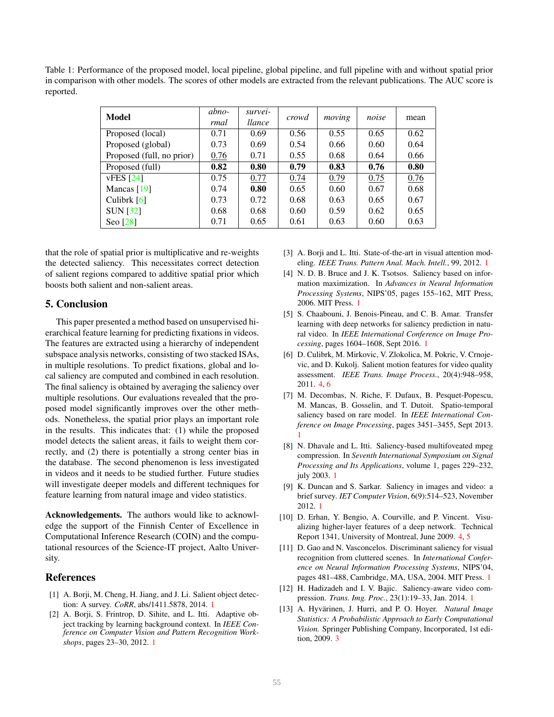<span id="page-5-14"></span><span id="page-5-13"></span>Table 1: Performance of the proposed model, local pipeline, global pipeline, and full pipeline with and without spatial prior in comparison with other models. The scores of other models are extracted from the relevant publications. The AUC score is reported.

| Model                     | abno-<br>rmal | survei-<br>llance | crowd | moving | noise | mean |
|---------------------------|---------------|-------------------|-------|--------|-------|------|
| Proposed (local)          | 0.71          | 0.69              | 0.56  | 0.55   | 0.65  | 0.62 |
| Proposed (global)         | 0.73          | 0.69              | 0.54  | 0.66   | 0.60  | 0.64 |
| Proposed (full, no prior) | 0.76          | 0.71              | 0.55  | 0.68   | 0.64  | 0.66 |
| Proposed (full)           | 0.82          | 0.80              | 0.79  | 0.83   | 0.76  | 0.80 |
| vFES [24]                 | 0.75          | 0.77              | 0.74  | 0.79   | 0.75  | 0.76 |
| Mancas $[19]$             | 0.74          | 0.80              | 0.65  | 0.60   | 0.67  | 0.68 |
| Culibrk $[6]$             | 0.73          | 0.72              | 0.68  | 0.63   | 0.65  | 0.67 |
| <b>SUN [32]</b>           | 0.68          | 0.68              | 0.60  | 0.59   | 0.62  | 0.65 |
| Seo [28]                  | 0.71          | 0.65              | 0.61  | 0.63   | 0.60  | 0.63 |

that the role of spatial prior is multiplicative and re-weights the detected saliency. This necessitates correct detection of salient regions compared to additive spatial prior which boosts both salient and non-salient areas.

### 5. Conclusion

This paper presented a method based on unsupervised hierarchical feature learning for predicting fixations in videos. The features are extracted using a hierarchy of independent subspace analysis networks, consisting of two stacked ISAs, in multiple resolutions. To predict fixations, global and local saliency are computed and combined in each resolution. The final saliency is obtained by averaging the saliency over multiple resolutions. Our evaluations revealed that the proposed model significantly improves over the other methods. Nonetheless, the spatial prior plays an important role in the results. This indicates that: (1) while the proposed model detects the salient areas, it fails to weight them correctly, and (2) there is potentially a strong center bias in the database. The second phenomenon is less investigated in videos and it needs to be studied further. Future studies will investigate deeper models and different techniques for feature learning from natural image and video statistics.

Acknowledgements. The authors would like to acknowledge the support of the Finnish Center of Excellence in Computational Inference Research (COIN) and the computational resources of the Science-IT project, Aalto University.

### References

- <span id="page-5-3"></span>[1] A. Borji, M. Cheng, H. Jiang, and J. Li. Salient object detection: A survey. *CoRR*, abs/1411.5878, 2014. [1](#page-0-0)
- <span id="page-5-2"></span>[2] A. Borji, S. Frintrop, D. Sihite, and L. Itti. Adaptive object tracking by learning background context. In *IEEE Conference on Computer Vision and Pattern Recognition Workshops*, pages 23–30, 2012. [1](#page-0-0)
- <span id="page-5-4"></span>[3] A. Borji and L. Itti. State-of-the-art in visual attention modeling. *IEEE Trans. Pattern Anal. Mach. Intell.*, 99, 2012. [1](#page-0-0)
- <span id="page-5-7"></span>[4] N. D. B. Bruce and J. K. Tsotsos. Saliency based on information maximization. In *Advances in Neural Information Processing Systems*, NIPS'05, pages 155–162, MIT Press, 2006. MIT Press. [1](#page-0-0)
- <span id="page-5-9"></span>[5] S. Chaabouni, J. Benois-Pineau, and C. B. Amar. Transfer learning with deep networks for saliency prediction in natural video. In *IEEE International Conference on Image Processing*, pages 1604–1608, Sept 2016. [1](#page-0-0)
- <span id="page-5-12"></span>[6] D. Culibrk, M. Mirkovic, V. Zlokolica, M. Pokric, V. Crnojevic, and D. Kukolj. Salient motion features for video quality assessment. *IEEE Trans. Image Process.*, 20(4):948–958, 2011. [4,](#page-3-1) [6](#page-5-14)
- <span id="page-5-8"></span>[7] M. Decombas, N. Riche, F. Dufaux, B. Pesquet-Popescu, M. Mancas, B. Gosselin, and T. Dutoit. Spatio-temporal saliency based on rare model. In *IEEE International Conference on Image Processing*, pages 3451–3455, Sept 2013. [1](#page-0-0)
- <span id="page-5-6"></span>[8] N. Dhavale and L. Itti. Saliency-based multifoveated mpeg compression. In *Seventh International Symposium on Signal Processing and Its Applications*, volume 1, pages 229–232, july 2003. [1](#page-0-0)
- <span id="page-5-5"></span>[9] K. Duncan and S. Sarkar. Saliency in images and video: a brief survey. *IET Computer Vision*, 6(9):514–523, November 2012. [1](#page-0-0)
- <span id="page-5-11"></span>[10] D. Erhan, Y. Bengio, A. Courville, and P. Vincent. Visualizing higher-layer features of a deep network. Technical Report 1341, University of Montreal, June 2009. [4,](#page-3-1) [5](#page-4-3)
- <span id="page-5-1"></span>[11] D. Gao and N. Vasconcelos. Discriminant saliency for visual recognition from cluttered scenes. In *International Conference on Neural Information Processing Systems*, NIPS'04, pages 481–488, Cambridge, MA, USA, 2004. MIT Press. [1](#page-0-0)
- <span id="page-5-0"></span>[12] H. Hadizadeh and I. V. Bajic. Saliency-aware video compression. *Trans. Img. Proc.*, 23(1):19–33, Jan. 2014. [1](#page-0-0)
- <span id="page-5-10"></span>[13] A. Hyvärinen, J. Hurri, and P. O. Hoyer. Natural Image *Statistics: A Probabilistic Approach to Early Computational Vision.* Springer Publishing Company, Incorporated, 1st edition, 2009. [3](#page-2-2)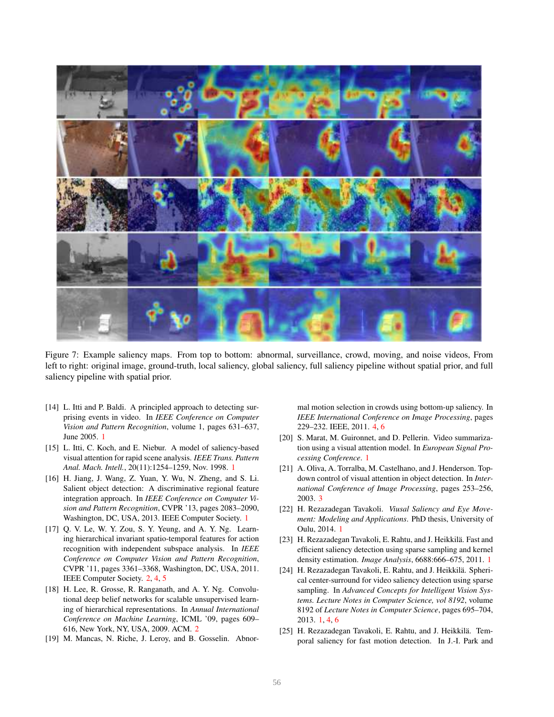<span id="page-6-12"></span>

Figure 7: Example saliency maps. From top to bottom: abnormal, surveillance, crowd, moving, and noise videos, From left to right: original image, ground-truth, local saliency, global saliency, full saliency pipeline without spatial prior, and full saliency pipeline with spatial prior.

- <span id="page-6-5"></span>[14] L. Itti and P. Baldi. A principled approach to detecting surprising events in video. In *IEEE Conference on Computer Vision and Pattern Recognition*, volume 1, pages 631–637, June 2005. [1](#page-0-0)
- <span id="page-6-4"></span>[15] L. Itti, C. Koch, and E. Niebur. A model of saliency-based visual attention for rapid scene analysis. *IEEE Trans. Pattern Anal. Mach. Intell.*, 20(11):1254–1259, Nov. 1998. [1](#page-0-0)
- <span id="page-6-0"></span>[16] H. Jiang, J. Wang, Z. Yuan, Y. Wu, N. Zheng, and S. Li. Salient object detection: A discriminative regional feature integration approach. In *IEEE Conference on Computer Vision and Pattern Recognition*, CVPR '13, pages 2083–2090, Washington, DC, USA, 2013. IEEE Computer Society. [1](#page-0-0)
- <span id="page-6-9"></span>[17] Q. V. Le, W. Y. Zou, S. Y. Yeung, and A. Y. Ng. Learning hierarchical invariant spatio-temporal features for action recognition with independent subspace analysis. In *IEEE Conference on Computer Vision and Pattern Recognition*, CVPR '11, pages 3361–3368, Washington, DC, USA, 2011. IEEE Computer Society. [2,](#page-1-1) [4,](#page-3-1) [5](#page-4-3)
- <span id="page-6-8"></span>[18] H. Lee, R. Grosse, R. Ranganath, and A. Y. Ng. Convolutional deep belief networks for scalable unsupervised learning of hierarchical representations. In *Annual International Conference on Machine Learning*, ICML '09, pages 609– 616, New York, NY, USA, 2009. ACM. [2](#page-1-1)
- <span id="page-6-11"></span>[19] M. Mancas, N. Riche, J. Leroy, and B. Gosselin. Abnor-

mal motion selection in crowds using bottom-up saliency. In *IEEE International Conference on Image Processing*, pages 229–232. IEEE, 2011. [4,](#page-3-1) [6](#page-5-14)

- <span id="page-6-2"></span>[20] S. Marat, M. Guironnet, and D. Pellerin. Video summarization using a visual attention model. In *European Signal Processing Conference*. [1](#page-0-0)
- <span id="page-6-10"></span>[21] A. Oliva, A. Torralba, M. Castelhano, and J. Henderson. Topdown control of visual attention in object detection. In *International Conference of Image Processing*, pages 253–256, 2003. [3](#page-2-2)
- <span id="page-6-3"></span>[22] H. Rezazadegan Tavakoli. *Viusal Saliency and Eye Movement: Modeling and Applications*. PhD thesis, University of Oulu, 2014. [1](#page-0-0)
- <span id="page-6-6"></span>[23] H. Rezazadegan Tavakoli, E. Rahtu, and J. Heikkilä. Fast and efficient saliency detection using sparse sampling and kernel density estimation. *Image Analysis*, 6688:666–675, 2011. [1](#page-0-0)
- <span id="page-6-7"></span>[24] H. Rezazadegan Tavakoli, E. Rahtu, and J. Heikkilä. Spherical center-surround for video saliency detection using sparse sampling. In *Advanced Concepts for Intelligent Vision Systems. Lecture Notes in Computer Science, vol 8192*, volume 8192 of *Lecture Notes in Computer Science*, pages 695–704, 2013. [1,](#page-0-0) [4,](#page-3-1) [6](#page-5-14)
- <span id="page-6-1"></span>[25] H. Rezazadegan Tavakoli, E. Rahtu, and J. Heikkilä. Temporal saliency for fast motion detection. In J.-I. Park and